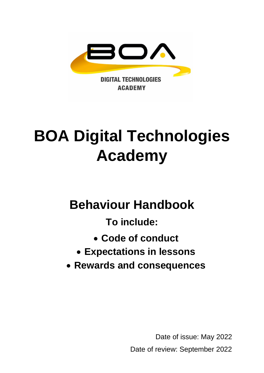

# **BOA Digital Technologies Academy**

# **Behaviour Handbook**

**To include:**

- **Code of conduct**
- **Expectations in lessons**
- **Rewards and consequences**

Date of issue: May 2022 Date of review: September 2022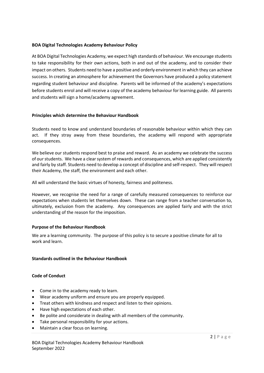#### **BOA Digital Technologies Academy Behaviour Policy**

At BOA Digital Technologies Academy, we expect high standards of behaviour. We encourage students to take responsibility for their own actions, both in and out of the academy, and to consider their impact on others. Students need to have a positive and orderly environment in which they can achieve success. In creating an atmosphere for achievement the Governors have produced a policy statement regarding student behaviour and discipline. Parents will be informed of the academy's expectations before students enrol and will receive a copy of the academy behaviour for learning guide. All parents and students will sign a home/academy agreement.

#### **Principles which determine the Behaviour Handbook**

Students need to know and understand boundaries of reasonable behaviour within which they can act. If they stray away from these boundaries, the academy will respond with appropriate consequences.

We believe our students respond best to praise and reward. As an academy we celebrate the success of our students. We have a clear system of rewards and consequences, which are applied consistently and fairly by staff. Students need to develop a concept of discipline and self-respect. They will respect their Academy, the staff, the environment and each other.

All will understand the basic virtues of honesty, fairness and politeness.

However, we recognise the need for a range of carefully measured consequences to reinforce our expectations when students let themselves down. These can range from a teacher conversation to, ultimately, exclusion from the academy. Any consequences are applied fairly and with the strict understanding of the reason for the imposition.

#### **Purpose of the Behaviour Handbook**

We are a learning community. The purpose of this policy is to secure a positive climate for all to work and learn.

#### **Standards outlined in the Behaviour Handbook**

#### **Code of Conduct**

- Come in to the academy ready to learn.
- Wear academy uniform and ensure you are properly equipped.
- Treat others with kindness and respect and listen to their opinions.
- Have high expectations of each other.
- Be polite and considerate in dealing with all members of the community.
- Take personal responsibility for your actions.
- Maintain a clear focus on learning.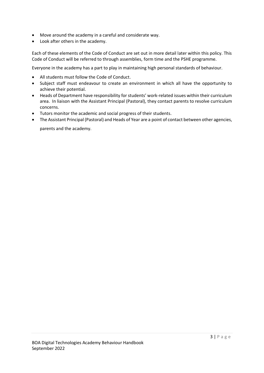- Move around the academy in a careful and considerate way.
- Look after others in the academy.

Each of these elements of the Code of Conduct are set out in more detail later within this policy. This Code of Conduct will be referred to through assemblies, form time and the PSHE programme.

Everyone in the academy has a part to play in maintaining high personal standards of behaviour.

- All students must follow the Code of Conduct.
- Subject staff must endeavour to create an environment in which all have the opportunity to achieve their potential.
- Heads of Department have responsibility for students' work-related issues within their curriculum area. In liaison with the Assistant Principal (Pastoral), they contact parents to resolve curriculum concerns.
- Tutors monitor the academic and social progress of their students.
- The Assistant Principal (Pastoral) and Heads of Year are a point of contact between other agencies, parents and the academy.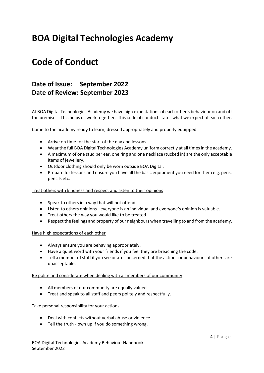## **BOA Digital Technologies Academy**

## **Code of Conduct**

#### **Date of Issue: September 2022 Date of Review: September 2023**

At BOA Digital Technologies Academy we have high expectations of each other's behaviour on and off the premises. This helps us work together. This code of conduct states what we expect of each other.

Come to the academy ready to learn, dressed appropriately and properly equipped.

- Arrive on time for the start of the day and lessons.
- Wear the full BOA Digital Technologies Academy uniform correctly at all times in the academy.
- A maximum of one stud per ear, one ring and one necklace (tucked in) are the only acceptable items of jewellery.
- Outdoor clothing should only be worn outside BOA Digital.
- Prepare for lessons and ensure you have all the basic equipment you need for them e.g. pens, pencils etc.

#### Treat others with kindness and respect and listen to their opinions

- Speak to others in a way that will not offend.
- Listen to others opinions everyone is an individual and everyone's opinion is valuable.
- Treat others the way you would like to be treated.
- Respect the feelings and property of our neighbours when travelling to and from the academy.

#### Have high expectations of each other

- Always ensure you are behaving appropriately.
- Have a quiet word with your friends if you feel they are breaching the code.
- Tell a member of staff if you see or are concerned that the actions or behaviours of others are unacceptable.

#### Be polite and considerate when dealing with all members of our community

- All members of our community are equally valued.
- Treat and speak to all staff and peers politely and respectfully.

#### Take personal responsibility for your actions

- Deal with conflicts without verbal abuse or violence.
- Tell the truth own up if you do something wrong.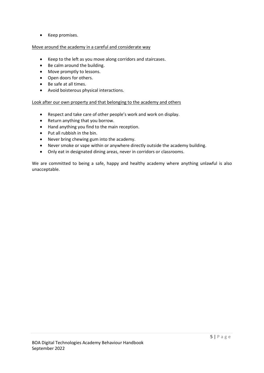• Keep promises.

#### Move around the academy in a careful and considerate way

- Keep to the left as you move along corridors and staircases.
- Be calm around the building.
- Move promptly to lessons.
- Open doors for others.
- Be safe at all times.
- Avoid boisterous physical interactions.

Look after our own property and that belonging to the academy and others

- Respect and take care of other people's work and work on display.
- Return anything that you borrow.
- Hand anything you find to the main reception.
- Put all rubbish in the bin.
- Never bring chewing gum into the academy.
- Never smoke or vape within or anywhere directly outside the academy building.
- Only eat in designated dining areas, never in corridors or classrooms.

We are committed to being a safe, happy and healthy academy where anything unlawful is also unacceptable.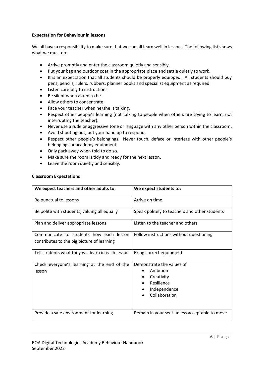#### **Expectation for Behaviour in lessons**

We all have a responsibility to make sure that we can all learn well in lessons. The following list shows what we must do:

- Arrive promptly and enter the classroom quietly and sensibly.
- Put your bag and outdoor coat in the appropriate place and settle quietly to work.
- It is an expectation that all students should be properly equipped. All students should buy pens, pencils, rulers, rubbers, planner books and specialist equipment as required.
- Listen carefully to instructions.
- Be silent when asked to be.
- Allow others to concentrate.
- Face your teacher when he/she is talking.
- Respect other people's learning (not talking to people when others are trying to learn, not interrupting the teacher).
- Never use a rude or aggressive tone or language with any other person within the classroom.
- Avoid shouting out, put your hand up to respond.
- Respect other people's belongings. Never touch, deface or interfere with other people's belongings or academy equipment.
- Only pack away when told to do so.
- Make sure the room is tidy and ready for the next lesson.
- Leave the room quietly and sensibly.

#### **Classroom Expectations**

| We expect teachers and other adults to:                                               | We expect students to:                                                                             |
|---------------------------------------------------------------------------------------|----------------------------------------------------------------------------------------------------|
| Be punctual to lessons                                                                | Arrive on time                                                                                     |
| Be polite with students, valuing all equally                                          | Speak politely to teachers and other students                                                      |
| Plan and deliver appropriate lessons                                                  | Listen to the teacher and others                                                                   |
| Communicate to students how each lesson<br>contributes to the big picture of learning | Follow instructions without questioning                                                            |
| Tell students what they will learn in each lesson                                     | Bring correct equipment                                                                            |
| Check everyone's learning at the end of the<br>lesson                                 | Demonstrate the values of<br>Ambition<br>Creativity<br>Resilience<br>Independence<br>Collaboration |
| Provide a safe environment for learning                                               | Remain in your seat unless acceptable to move                                                      |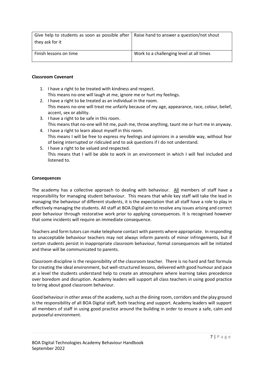| Give help to students as soon as possible after $\vert$ Raise hand to answer a question/not shout<br>they ask for it |                                          |
|----------------------------------------------------------------------------------------------------------------------|------------------------------------------|
| Finish lessons on time                                                                                               | Work to a challenging level at all times |

#### **Classroom Covenant**

- 1. I have a right to be treated with kindness and respect. This means no-one will laugh at me, ignore me or hurt my feelings.
- 2. I have a right to be treated as an individual in the room. This means no-one will treat me unfairly because of my age, appearance, race, colour, belief, accent, sex or ability.
- 3. I have a right to be safe in this room. This means that no-one will hit me, push me, throw anything, taunt me or hurt me in anyway.
- 4. I have a right to learn about myself in this room. This means I will be free to express my feelings and opinions in a sensible way, without fear of being interrupted or ridiculed and to ask questions if I do not understand.
- 5. I have a right to be valued and respected. This means that I will be able to work in an environment in which I will feel included and listened to.

#### **Consequences**

The academy has a collective approach to dealing with behaviour. All members of staff have a responsibility for managing student behaviour. This means that while key staff will take the lead in managing the behaviour of different students, it is the expectation that all staff have a role to play in effectively managing the students. All staff at BOA Digital aim to resolve any issues arising and correct poor behaviour through restorative work prior to applying consequences. It is recognised however that some incidents will require an immediate consequence.

Teachers and form tutors can make telephone contact with parents where appropriate. In responding to unacceptable behaviour teachers may not always inform parents of minor infringements, but if certain students persist in inappropriate classroom behaviour, formal consequences will be initiated and these will be communicated to parents.

Classroom discipline is the responsibility of the classroom teacher. There is no hard and fast formula for creating the ideal environment, but well-structured lessons, delivered with good humour and pace at a level the students understand help to create an atmosphere where learning takes precedence over boredom and disruption. Academy leaders will support all class teachers in using good practice to bring about good classroom behaviour.

Good behaviour in other areas of the academy, such as the dining room, corridors and the play ground is the responsibility of all BOA Digital staff, both teaching and support. Academy leaders will support all members of staff in using good practice around the building in order to ensure a safe, calm and purposeful environment.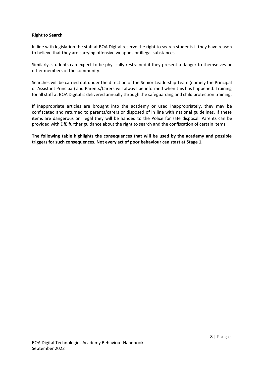#### **Right to Search**

In line with legislation the staff at BOA Digital reserve the right to search students if they have reason to believe that they are carrying offensive weapons or illegal substances.

Similarly, students can expect to be physically restrained if they present a danger to themselves or other members of the community.

Searches will be carried out under the direction of the Senior Leadership Team (namely the Principal or Assistant Principal) and Parents/Carers will always be informed when this has happened. Training for all staff at BOA Digital is delivered annually through the safeguarding and child protection training.

If inappropriate articles are brought into the academy or used inappropriately, they may be confiscated and returned to parents/carers or disposed of in line with national guidelines. If these items are dangerous or illegal they will be handed to the Police for safe disposal. Parents can be provided with DfE further guidance about the right to search and the confiscation of certain items.

**The following table highlights the consequences that will be used by the academy and possible triggers for such consequences. Not every act of poor behaviour can start at Stage 1.**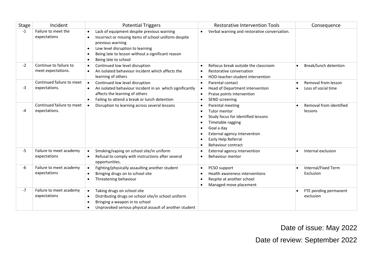| Stage | Incident                                     | <b>Potential Triggers</b>                                                                                                                                                                                                                                         | <b>Restorative Intervention Tools</b>                                                                                                                                                                                                                                                                 | Consequence                                |
|-------|----------------------------------------------|-------------------------------------------------------------------------------------------------------------------------------------------------------------------------------------------------------------------------------------------------------------------|-------------------------------------------------------------------------------------------------------------------------------------------------------------------------------------------------------------------------------------------------------------------------------------------------------|--------------------------------------------|
| $-1$  | Failure to meet the<br>expectations          | Lack of equipment despite previous warning<br>Incorrect or missing items of school uniform despite<br>$\bullet$<br>previous warning<br>Low level disruption to learning<br>$\bullet$<br>Being late to lesson without a significant reason<br>Being late to school | Verbal warning and restorative conversation.<br>$\bullet$                                                                                                                                                                                                                                             |                                            |
| $-2$  | Continue to failure to<br>meet expectations. | Continued low level disruption<br>An isolated behaviour incident which affects the<br>learning of others                                                                                                                                                          | Refocus break outside the classroom<br>$\bullet$<br>Restorative conversation<br>$\bullet$<br>HOD-teacher-student intervention<br>$\bullet$                                                                                                                                                            | Break/lunch detention                      |
| -3    | Continued failure to meet<br>expectations.   | Continued low level disruption<br>$\bullet$<br>An isolated behaviour incident in an which significantly<br>affects the learning of others<br>Failing to attend a break or lunch detention                                                                         | Parental contact<br>$\bullet$<br>Head of Department intervention<br>$\bullet$<br>Praise points intervention<br>$\bullet$<br>SEND screening<br>$\bullet$                                                                                                                                               | Removal from lesson<br>Loss of social time |
| $-4$  | Continued failure to meet<br>expectations.   | Disruption to learning across several lessons<br>$\bullet$                                                                                                                                                                                                        | Parental meeting<br>$\bullet$<br><b>Tutor mentor</b><br>$\bullet$<br>Study focus for identified lessons<br>$\bullet$<br>Timetable ragging<br>$\bullet$<br>Goal a day<br>$\bullet$<br>External agency intervention<br>$\bullet$<br>Early Help Referral<br>$\bullet$<br>Behaviour contract<br>$\bullet$ | Removal from identified<br>lessons         |
| -5    | Failure to meet academy<br>expectations      | Smoking/vaping on school site/in uniform<br>$\bullet$<br>Refusal to comply with instructions after several<br>$\bullet$<br>opportunities.                                                                                                                         | External agency intervention<br>$\bullet$<br>Behaviour mentor<br>$\bullet$                                                                                                                                                                                                                            | Internal exclusion                         |
| -6    | Failure to meet academy<br>expectations      | Fighting/physically assaulting another student<br>$\bullet$<br>Bringing drugs on to school site<br>Threatening behaviour                                                                                                                                          | PCSO support<br>$\bullet$<br>Health awareness interventions<br>$\bullet$<br>Respite at another school<br>$\bullet$<br>Managed move placement<br>$\bullet$                                                                                                                                             | Internal/Fixed Term<br>Exclusion           |
| $-7$  | Failure to meet academy<br>expectations      | Taking drugs on school site<br>$\bullet$<br>Distributing drugs on school site/in school uniform<br>Bringing a weapon in to school<br>Unprovoked serious physical assault of another student                                                                       |                                                                                                                                                                                                                                                                                                       | FTE pending permanent<br>exclusion         |

Date of issue: May 2022

Date of review: September 2022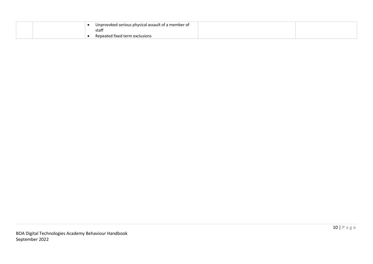|  | Unprovoked serious physical assault of a member of<br>staff |  |
|--|-------------------------------------------------------------|--|
|  | Repeated fixed term exclusions                              |  |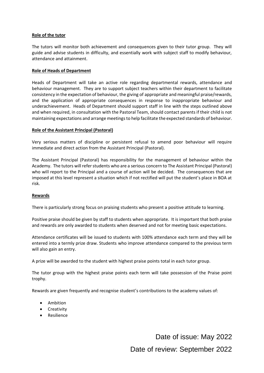#### **Role of the tutor**

The tutors will monitor both achievement and consequences given to their tutor group. They will guide and advise students in difficulty, and essentially work with subject staff to modify behaviour, attendance and attainment.

#### **Role of Heads of Department**

Heads of Department will take an active role regarding departmental rewards, attendance and behaviour management. They are to support subject teachers within their department to facilitate consistency in the expectation of behaviour, the giving of appropriate and meaningful praise/rewards, and the application of appropriate consequences in response to inappropriate behaviour and underachievement. Heads of Department should support staff in line with the steps outlined above and when required, in consultation with the Pastoral Team, should contact parents if their child is not maintaining expectations and arrange meetings to help facilitate the expected standards of behaviour.

#### **Role of the Assistant Principal (Pastoral)**

Very serious matters of discipline or persistent refusal to amend poor behaviour will require immediate and direct action from the Assistant Principal (Pastoral).

The Assistant Principal (Pastoral) has responsibility for the management of behaviour within the Academy. The tutors will refer students who are a serious concern to The Assistant Principal (Pastoral) who will report to the Principal and a course of action will be decided. The consequences that are imposed at this level represent a situation which if not rectified will put the student's place in BOA at risk.

#### **Rewards**

There is particularly strong focus on praising students who present a positive attitude to learning.

Positive praise should be given by staff to students when appropriate. It is important that both praise and rewards are only awarded to students when deserved and not for meeting basic expectations.

Attendance certificates will be issued to students with 100% attendance each term and they will be entered into a termly prize draw. Students who improve attendance compared to the previous term will also gain an entry.

A prize will be awarded to the student with highest praise points total in each tutor group.

The tutor group with the highest praise points each term will take possession of the Praise point trophy.

Rewards are given frequently and recognise student's contributions to the academy values of:

- Ambition
- Creativity
- Resilience

Date of issue: May 2022 Date of review: September 2022